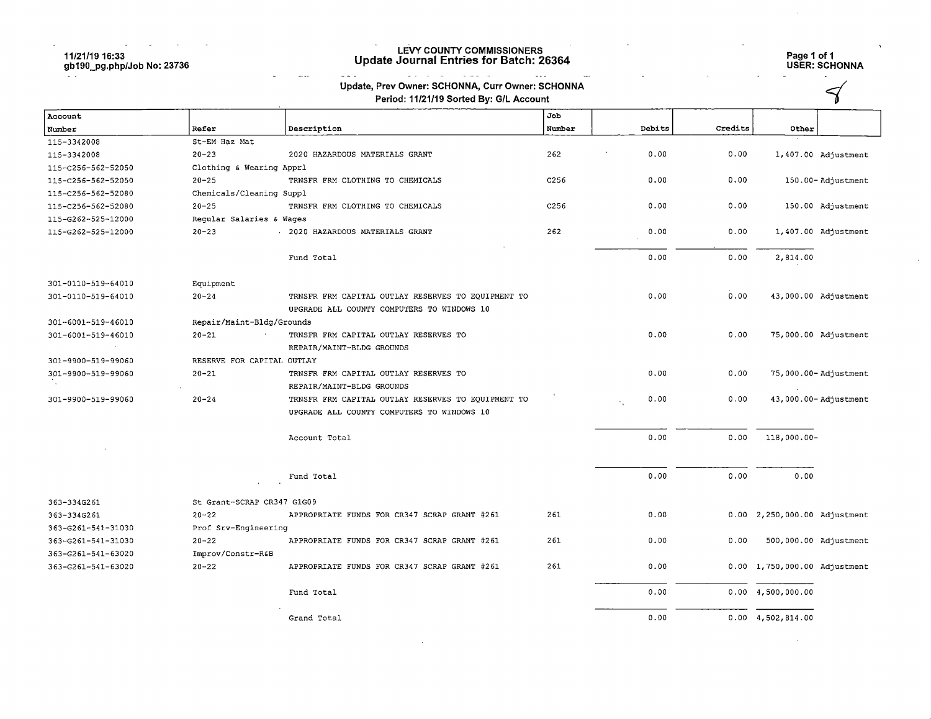#### $\sim 100$  km s  $^{-1}$  $\sim 10^7$  $\sim 100$ 11/21/19 16:33 gb190\_pg.php/Job No; 23736

#### LEVY COUNTY COMMISSIONERS Update Journal Entries for Batch: 26364

# Page 1 of 1 USER: SCHONNA

 $\prec$ 

 $\sim$ 

| Update, Prev Owner: SCHONNA, Curr Owner: SCHONNA |
|--------------------------------------------------|
|                                                  |

المنتشب الدانين

 $\sim$   $\sim$   $\sim$ 

 $\sim$   $\sim$ 

 $\ddot{\phantom{a}}$ 

| Period: 11/21/19 Sorted By: G/L Account |  |
|-----------------------------------------|--|
|-----------------------------------------|--|

 $\mathbb{Z}_{2}$  .

 $\sim$ 

| Account            |                                             |                                                                                                  | Job              |        |         |                              |                      |
|--------------------|---------------------------------------------|--------------------------------------------------------------------------------------------------|------------------|--------|---------|------------------------------|----------------------|
| Number             | Refer                                       | Description                                                                                      | Number           | Debits | Credits | Other                        |                      |
| 115-3342008        | St-EM Haz Mat                               |                                                                                                  |                  |        |         |                              |                      |
| 115-3342008        | $20 - 23$<br>2020 HAZARDOUS MATERIALS GRANT |                                                                                                  | 262              | 0.00   | 0.00    |                              | 1,407.00 Adjustment  |
| 115-C256-562-52050 | Clothing & Wearing Apprl                    |                                                                                                  |                  |        |         |                              |                      |
| 115-C256-562-52050 | $20 - 25$                                   | TRNSFR FRM CLOTHING TO CHEMICALS                                                                 | C <sub>256</sub> | 0.00   | 0.00    |                              | 150.00-Adjustment    |
| 115-C256-562-52080 | Chemicals/Cleaning Suppl                    |                                                                                                  |                  |        |         |                              |                      |
| 115-C256-562-52080 | $20 - 25$                                   | TRNSFR FRM CLOTHING TO CHEMICALS                                                                 | C <sub>256</sub> | 0.00   | 0.00    |                              | 150.00 Adjustment    |
| 115-G262-525-12000 | Reqular Salaries & Waqes                    |                                                                                                  |                  |        |         |                              |                      |
| 115-G262-525-12000 | $20 - 23$                                   | 2020 HAZARDOUS MATERIALS GRANT                                                                   | 262              | 0.00   | 0.00    |                              | 1,407.00 Adjustment  |
|                    |                                             | Fund Total                                                                                       |                  | 0.00   | 0.00    | 2,814.00                     |                      |
| 301-0110-519-64010 | Equipment                                   |                                                                                                  |                  |        |         |                              |                      |
| 301-0110-519-64010 | $20 - 24$                                   | TRNSFR FRM CAPITAL OUTLAY RESERVES TO EQUIPMENT TO<br>UPGRADE ALL COUNTY COMPUTERS TO WINDOWS 10 |                  | 0.00   | 0.00    |                              | 43,000.00 Adjustment |
| 301-6001-519-46010 | Repair/Maint-Bldg/Grounds                   |                                                                                                  |                  |        |         |                              |                      |
| 301-6001-519-46010 | $20 - 21$                                   | TRNSFR FRM CAPITAL OUTLAY RESERVES TO                                                            |                  | 0.00   | 0.00    |                              | 75,000.00 Adjustment |
|                    |                                             | REPAIR/MAINT-BLDG GROUNDS                                                                        |                  |        |         |                              |                      |
| 301-9900-519-99060 | RESERVE FOR CAPITAL OUTLAY                  |                                                                                                  |                  |        |         |                              |                      |
| 301-9900-519-99060 | $20 - 21$                                   | TRNSFR FRM CAPITAL OUTLAY RESERVES TO                                                            |                  | 0.00   | 0.00    |                              | 75,000.00-Adjustment |
|                    |                                             | REPAIR/MAINT-BLDG GROUNDS                                                                        |                  |        |         |                              |                      |
| 301-9900-519-99060 | $20 - 24$                                   | TRNSFR FRM CAPITAL OUTLAY RESERVES TO EQUIPMENT TO                                               |                  | 0.00   | 0.00    |                              | 43,000.00-Adjustment |
|                    |                                             | UPGRADE ALL COUNTY COMPUTERS TO WINDOWS 10                                                       |                  |        |         |                              |                      |
|                    |                                             | Account Total                                                                                    |                  | 0.00   | 0.00    | $118,000.00-$                |                      |
|                    |                                             | Fund Total                                                                                       |                  | 0.00   | 0.00    | 0.00                         |                      |
| 363-334G261        | St Grant-SCRAP CR347 G1G09                  |                                                                                                  |                  |        |         |                              |                      |
| 363-334G261        | $20 - 22$                                   | APPROPRIATE FUNDS FOR CR347 SCRAP GRANT #261                                                     | 261              | 0.00   |         | 0.00 2,250,000.00 Adjustment |                      |
| 363-G261-541-31030 | Prof Srv-Engineering                        |                                                                                                  |                  |        |         |                              |                      |
| 363-G261-541-31030 | $20 - 22$                                   | APPROPRIATE FUNDS FOR CR347 SCRAP GRANT #261                                                     | 261              | 0.00   | 0.00    | 500,000.00 Adjustment        |                      |
| 363-6261-541-63020 | Improv/Constr-R&B                           |                                                                                                  |                  |        |         |                              |                      |
| 363-G261-541-63020 | $20 - 22$                                   | APPROPRIATE FUNDS FOR CR347 SCRAP GRANT #261                                                     | 261              | 0.00   |         | 0.00 1,750,000.00 Adjustment |                      |
|                    |                                             | Fund Total                                                                                       |                  | 0.00   |         | $0.00 \quad 4,500,000.00$    |                      |
|                    |                                             | Grand Total                                                                                      |                  | 0.00   |         | $0.00 \quad 4,502,814.00$    |                      |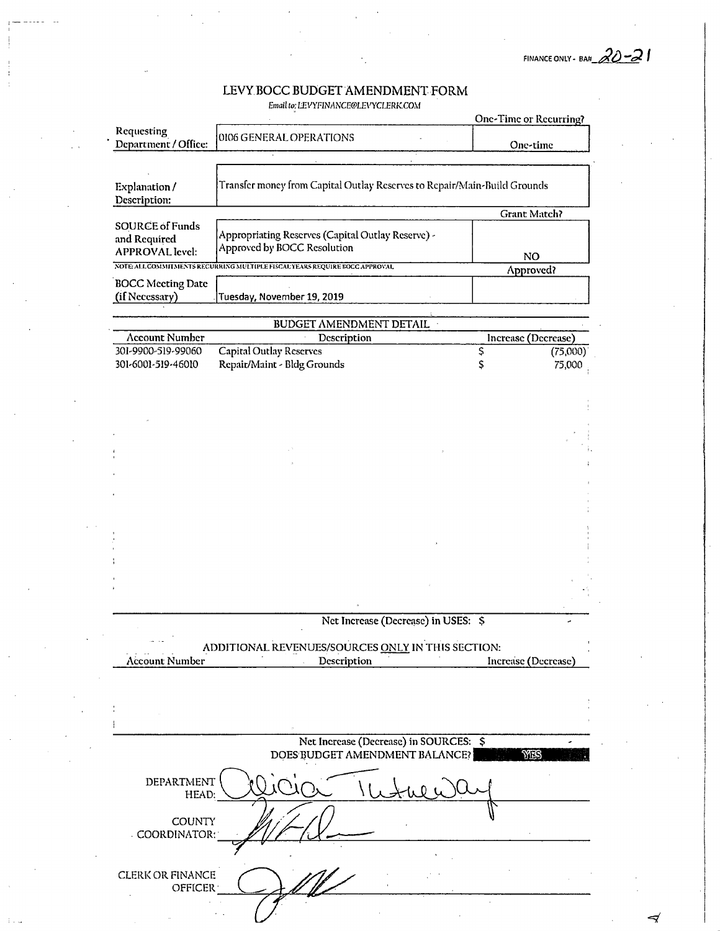FINANCE ONLY - BA#  $20 - 21$ 

Email to: LEVYFINANCE@LEVYCLERK.COM

|                                                                  |                                                                                  | One-Time or Recurring? |          |
|------------------------------------------------------------------|----------------------------------------------------------------------------------|------------------------|----------|
| Requesting<br>Department / Office:                               | 0106 GENERAL OPERATIONS                                                          | One-time               |          |
| Explanation/<br>Description:                                     | Transfer money from Capital Outlay Reserves to Repair/Main-Build Grounds         |                        |          |
|                                                                  |                                                                                  | <b>Grant Match?</b>    |          |
| <b>SOURCE of Funds</b><br>and Required<br><b>APPROVAL</b> level: | Appropriating Reserves (Capital Outlay Reserve) -<br>Approved by BOCC Resolution | NO.                    |          |
|                                                                  | NOTE ALL COMMITMENTS RECURRING MULTIPLE FISCAL YEARS REQUIRE BOCC APPROVAL       | Approved?              |          |
| <b>BOCC</b> Meeting Date<br>(if Necessary)                       | Tuesday, November 19, 2019                                                       |                        |          |
|                                                                  |                                                                                  |                        |          |
| <b>Account Number</b>                                            | BUDGET AMENDMENT DETAIL ·<br>Description                                         | Increase (Decrease)    |          |
| 301-9900-519-99060                                               | Capital Outlay Reserves                                                          | Ş                      | (75,000) |
| 301-6001-519-46010                                               | Repair/Maint - Bldg Grounds                                                      | \$                     | 75,000   |
|                                                                  |                                                                                  |                        |          |
|                                                                  |                                                                                  |                        |          |
|                                                                  |                                                                                  |                        |          |
|                                                                  |                                                                                  |                        |          |
|                                                                  |                                                                                  |                        |          |
|                                                                  |                                                                                  |                        |          |
|                                                                  |                                                                                  |                        |          |
|                                                                  |                                                                                  |                        |          |
|                                                                  |                                                                                  |                        |          |
|                                                                  |                                                                                  |                        |          |
|                                                                  |                                                                                  |                        |          |
|                                                                  |                                                                                  |                        |          |
|                                                                  |                                                                                  |                        |          |
|                                                                  |                                                                                  |                        |          |
|                                                                  | Net Increase (Decrease) in USES: \$                                              |                        |          |
| <b>Account Number</b>                                            | ADDITIONAL REVENUES/SOURCES ONLY IN THIS SECTION:<br>Description                 | Increase (Decrease)    |          |
|                                                                  |                                                                                  |                        |          |
|                                                                  |                                                                                  |                        |          |
|                                                                  |                                                                                  |                        |          |
|                                                                  |                                                                                  |                        |          |
|                                                                  | Net Increase (Decrease) in SOURCES: \$                                           |                        |          |
|                                                                  | DOES BUDGET AMENDMENT BALANCE?                                                   | YES                    |          |
|                                                                  |                                                                                  |                        |          |
| DEPARTMENT<br>HEAD:                                              |                                                                                  |                        |          |
| <b>COUNTY</b><br>COORDINATOR:                                    |                                                                                  |                        |          |
|                                                                  |                                                                                  |                        |          |
|                                                                  |                                                                                  |                        |          |
| <b>CLERK OR FINANCE</b><br><b>OFFICER</b>                        |                                                                                  |                        |          |
|                                                                  |                                                                                  |                        |          |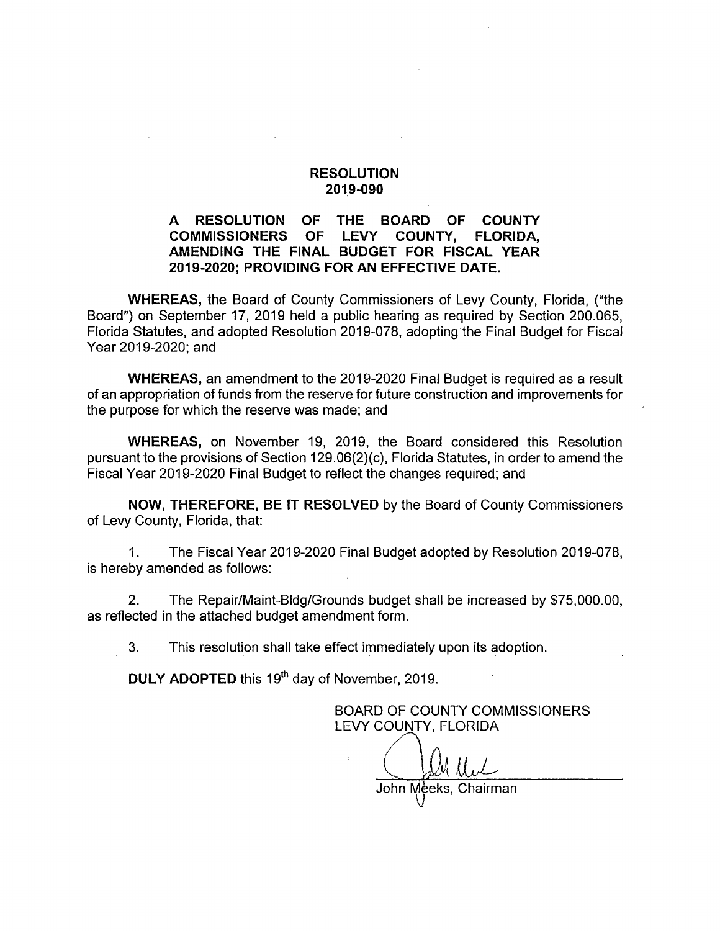#### A RESOLUTION OF THE BOARD OF COUNTY<br>COMMISSIONERS OF LEVY COUNTY. FLORIDA. **COMMISSIONERS** AMENDING THE FINAL BUDGET FOR FISCAL YEAR 2019-2020; PROVIDING FOR AN EFFECTIVE DATE.

WHEREAS, the Board of County Commissioners of Levy County, Florida, ("the Board") on September 17, 2019 held a public hearing as required by Section 200.065, Florida Statutes, and adopted Resolution 2019-078, adopting the Final Budget for Fiscal Year 2019-2020; and

WHEREAS, an amendment to the 2019-2020 Final Budget is required as a result of an appropriation of funds from the reserve for future construction and improvements for the purpose for which the reserve was made; and

WHEREAS, on November 19, 2019, the Board considered this Resolution pursuant to the provisions of Section 129.06(2)(c), Florida Statutes, in order to amend the Fiscal Year 2019-2020 Final Budget to reflect the changes required; and

NOW, THEREFORE, BE IT RESOLVED by the Board of County Commissioners of Levy County, Florida, that:

1. The Fiscal Year 2019-2020 Final Budget adopted by Resolution 2019-078, is hereby amended as follows:

2. The Repair/Maint-Bldg/Grounds budget shall be increased by \$75,000.00, as reflected in the attached budget amendment form.

3. This resolution shall take effect immediately upon its adoption.

DULY ADOPTED this 19<sup>th</sup> day of November, 2019.

BOARD OF COUNTY COMMISSIONERS LEVY COUNTY, FLORIDA

 $\backslash\mathcal{N}$ 

John Mèeks, Chairman<br>U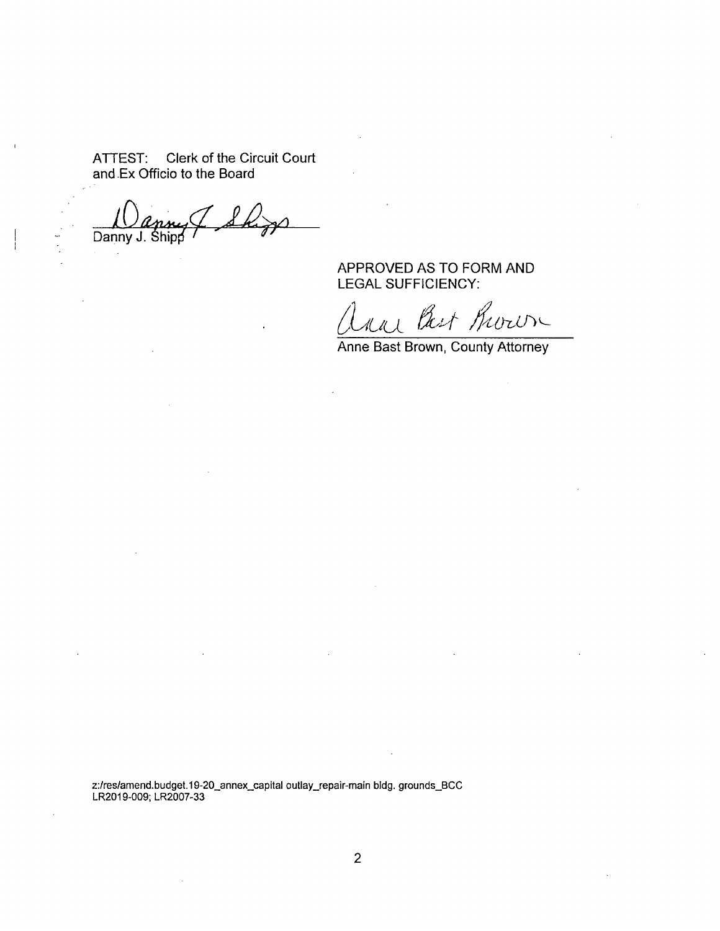ATTEST; Clerk of the Circuit Court and -Ex Officio to the Board

Danny J. Shipp

APPROVED AS TO FORM AND LEGAL SUFFICIENCY:

an Bast Room

Anne Bast Brown, County Attorney

z:/res/amend.budget.19-20\_annex\_capital outlay\_repair-main bidg. grounds\_BCC LR2019-009: LR2007-33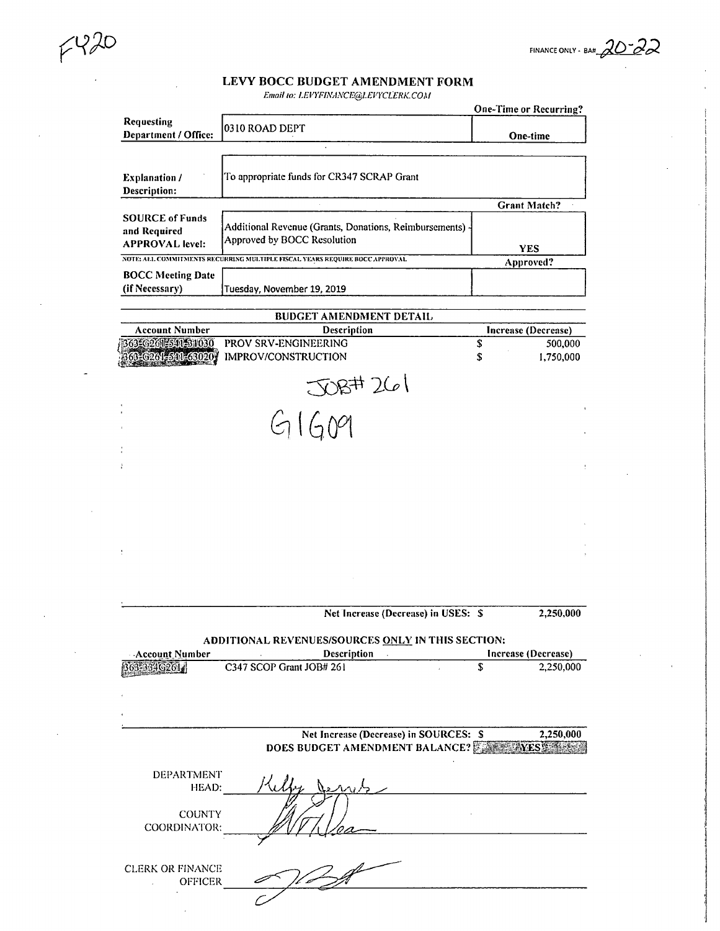FINANCE ONLY - BAH  $\partial\mathcal{O}$   $\partial\mathcal{P}$ 

 $6420$ 

Email to: LEVYFINANCE@LEVYCLERK.COM

|                                                                  |                                                                                       |   | <b>One-Time or Recurring?</b> |
|------------------------------------------------------------------|---------------------------------------------------------------------------------------|---|-------------------------------|
| Requesting<br>Department / Office:                               | 0310 ROAD DEPT                                                                        |   | <b>One-time</b>               |
|                                                                  |                                                                                       |   |                               |
| <b>Explanation</b> /<br>Description:                             | To appropriate funds for CR347 SCRAP Grant                                            |   |                               |
|                                                                  |                                                                                       |   | <b>Grant Match?</b>           |
| <b>SOURCE of Funds</b><br>and Required<br><b>APPROVAL</b> level: | Additional Revenue (Grants, Donations, Reimbursements)<br>Approved by BOCC Resolution |   | <b>YES</b>                    |
|                                                                  | NOTE: ALL COMMITMENTS RECURRING MULTIPLE FISCAL YEARS REQUIRE BOCC APPROVAL           |   | Approved?                     |
| <b>BOCC Meeting Date</b><br>(if Necessary)                       | Tuesday, November 19, 2019                                                            |   |                               |
|                                                                  | <b>BUDGET AMENDMENT DETAIL</b>                                                        |   |                               |
| <b>Account Number</b>                                            | Description                                                                           |   | Increase (Decrease)           |
| 363-6261-541-31030                                               | PROV SRV-ENGINEERING                                                                  | S | 500,000                       |
| 63-6261-541-63020                                                | IMPROV/CONSTRUCTION                                                                   | S | 1,750,000                     |
|                                                                  | $\Im(\rho)$                                                                           |   |                               |

 $G1609$ 

Net Increase (Decrease) in USES: \$ 2,250,000 ADDITIONAL REVENUES/SOURCES ONLY IN THIS SECTION:<br>Account Number Description linerease (Decrease) Account Number<br>
B63-3346261<br>
C347 SCOP Grant JOB# 261 \$201 8 2,250,000  $C347 SCOP Grant JOB# 261$  \$ Net Increase (Decrease) in SOURCES: \$2,250,000 DOES BUDGET AMENDMENT BALANCE? F3 F3 F4 F4 WEST (1998) DEPARTMENT HEAD:  $\mathscr{Y} \subset$  $\sqrt[n]{\sqrt[n]{\sqrt{2}}}$ **COUNTY** COORDINATOR; CLERK OR FINANCE OFFICER $\mathcal{L}$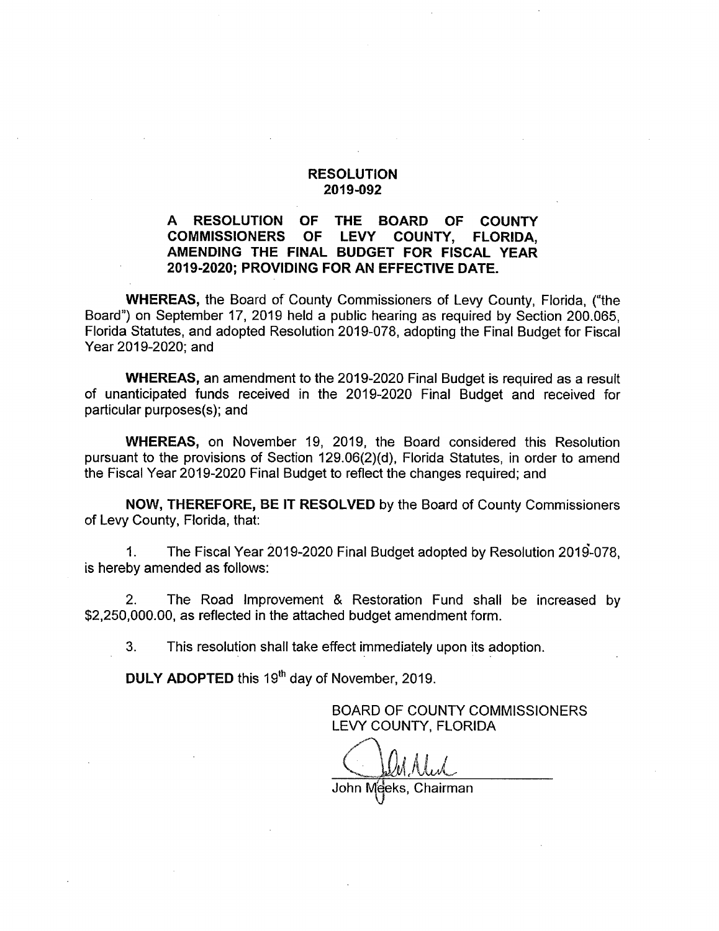### A RESOLUTION OF THE BOARD OF COUNTY<br>COMMISSIONERS OF LEVY COUNTY. FLORIDA. **COMMISSIONERS** AMENDING THE FINAL BUDGET FOR FISCAL YEAR 2019-2020; PROVIDING FOR AN EFFECTIVE DATE.

WHEREAS, the Board of County Commissioners of Levy County, Florida, ("the Board") on September 17, 2019 held a public hearing as required by Section 200.065, Florida Statutes, and adopted Resolution 2019-078, adopting the Final Budget for Fiscal Year 2019-2020; and

WHEREAS, an amendment to the 2019-2020 Final Budget is required as a result of unanticipated funds received in the 2019-2020 Final Budget and received for particular purposes(s); and

WHEREAS, on November 19, 2019, the Board considered this Resolution pursuant to the provisions of Section 129.06(2)(d), Florida Statutes, in order to amend the Fiscal Year 2019-2020 Final Budget to reflect the changes required; and

NOW, THEREFORE, BE IT RESOLVED by the Board of County Commissioners of Levy County, Florida, that:

1. The Fiscal Year 2019-2020 Final Budget adopted by Resolution 2019-078, is hereby amended as follows;

2. The Road Improvement & Restoration Fund shall be increased by \$2,250,000.00, as reflected in the attached budget amendment form.

3. This resolution shall take effect immediately upon its adoption.

DULY ADOPTED this 19<sup>th</sup> day of November, 2019.

BOARD OF COUNTY COMMISSIONERS LEVY COUNTY, FLORIDA

John Meeks, Chairman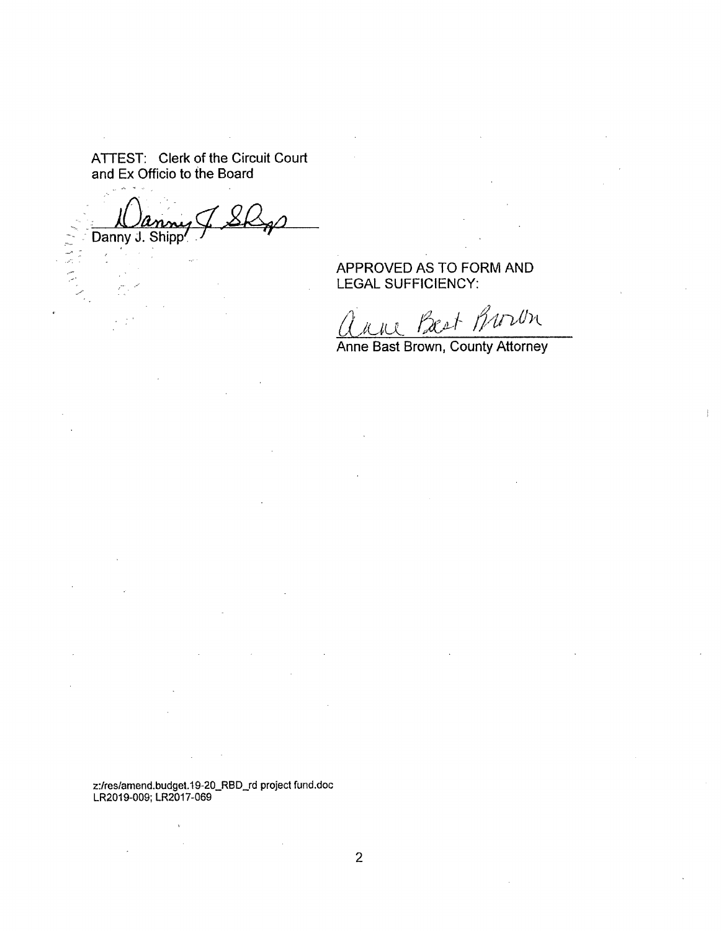ATTEST: Clerk of the Circuit Court and Ex Officio to the Board

Danny J. Shipp در<br>منابع<br>پس

APPROVED AS TO FORM AND LEGAL SUFFICIENCY:

ast Buron

Anne Bast Brown, County Attorney

 $\frac{1}{2}$ 

z:/res/amend.budgel.19-20\_RBD\_rd project fund.doc LR2019-009: LR2017-069

 $\bar{\rm v}$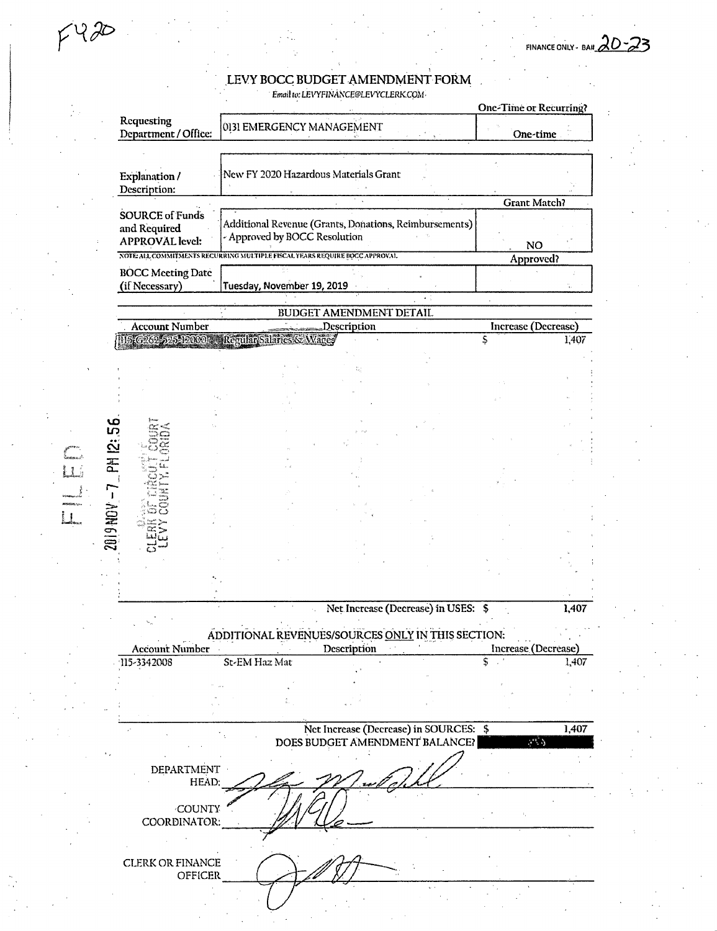FINANCE ONLY - BA# $20 - 23$ 

Email to: LEVYFINANCE@LEVYCLERK.COM-

|                                                                            |                               |                                                        |                                                   | <b>One-Time or Recurring?</b> |       |
|----------------------------------------------------------------------------|-------------------------------|--------------------------------------------------------|---------------------------------------------------|-------------------------------|-------|
| Requesting<br>Department / Office:                                         | 0131 EMERGENCY MANAGEMENT     |                                                        |                                                   | One-time                      |       |
|                                                                            |                               |                                                        |                                                   |                               |       |
|                                                                            |                               | New FY 2020 Hazardous Materials Grant                  |                                                   |                               |       |
| <b>Explanation</b> /                                                       |                               |                                                        |                                                   |                               |       |
| Description:                                                               |                               |                                                        |                                                   |                               |       |
| <b>SOURCE of Funds</b>                                                     |                               |                                                        |                                                   | <b>Grant Match?</b>           |       |
| and Required                                                               |                               | Additional Revenue (Grants, Donations, Reimbursements) |                                                   |                               |       |
| <b>APPROVAL</b> level:                                                     | - Approved by BOCC Resolution |                                                        |                                                   |                               |       |
| NOTE ALL COMMITMENTS REGURBING MULTIPLE FISCAL YEARS REQUIRE BOCC APPROVAL |                               |                                                        |                                                   | <b>NO</b>                     |       |
|                                                                            |                               |                                                        |                                                   | Approved?                     |       |
| <b>BOCC Meeting Date</b>                                                   |                               |                                                        |                                                   |                               |       |
| (if Necessary)                                                             | Tuesday, November 19, 2019    |                                                        |                                                   |                               |       |
|                                                                            |                               | BUDGET AMENDMENT DETAIL                                |                                                   |                               |       |
| <b>Account Number</b>                                                      |                               | Description                                            |                                                   | Increase (Decrease)           |       |
| US G262-525-12000. Regular Salaries & Wares                                |                               |                                                        |                                                   | \$                            | 1,407 |
|                                                                            |                               |                                                        |                                                   |                               |       |
|                                                                            |                               |                                                        |                                                   |                               |       |
|                                                                            |                               |                                                        |                                                   |                               |       |
|                                                                            |                               |                                                        |                                                   |                               |       |
|                                                                            |                               |                                                        |                                                   |                               |       |
|                                                                            |                               |                                                        |                                                   |                               |       |
|                                                                            |                               |                                                        |                                                   |                               |       |
|                                                                            |                               |                                                        |                                                   |                               |       |
|                                                                            |                               |                                                        |                                                   |                               |       |
|                                                                            |                               |                                                        |                                                   |                               |       |
|                                                                            |                               |                                                        |                                                   |                               |       |
|                                                                            |                               |                                                        |                                                   |                               |       |
|                                                                            |                               |                                                        |                                                   |                               |       |
|                                                                            |                               |                                                        |                                                   |                               |       |
|                                                                            |                               |                                                        |                                                   |                               |       |
|                                                                            |                               |                                                        |                                                   |                               |       |
|                                                                            |                               |                                                        |                                                   |                               |       |
|                                                                            |                               |                                                        |                                                   |                               |       |
|                                                                            |                               |                                                        |                                                   |                               |       |
|                                                                            |                               | Net Increase (Decrease) in USES: \$                    |                                                   |                               | 1,407 |
|                                                                            |                               |                                                        |                                                   |                               |       |
|                                                                            |                               |                                                        |                                                   |                               |       |
|                                                                            |                               |                                                        | ADDITIONAL REVENUES/SOURCES ONLY IN THIS SECTION: |                               |       |
| <b>Account Number</b>                                                      |                               | Description                                            |                                                   | Increase (Decrease)           |       |
|                                                                            | St-EM Haz Mat                 |                                                        |                                                   | Ŝ                             |       |
|                                                                            |                               |                                                        |                                                   |                               | 1,407 |
|                                                                            |                               |                                                        |                                                   |                               |       |
|                                                                            |                               |                                                        |                                                   |                               |       |
|                                                                            |                               |                                                        |                                                   |                               |       |
|                                                                            |                               |                                                        | Net Increase (Decrease) in SOURCES: \$            | وأبدع                         | 1,407 |
|                                                                            |                               |                                                        | DOES BUDGET AMENDMENT BALANCE?                    |                               |       |
|                                                                            |                               |                                                        |                                                   |                               |       |
| <b>DEPARTMENT</b><br>HEAD:                                                 |                               |                                                        |                                                   |                               |       |
|                                                                            |                               |                                                        |                                                   |                               |       |
| COUNTY                                                                     |                               |                                                        |                                                   |                               |       |
| COORDINATOR:                                                               |                               |                                                        |                                                   |                               |       |
| 115-3342008                                                                |                               |                                                        |                                                   |                               |       |
|                                                                            |                               |                                                        |                                                   |                               |       |
|                                                                            |                               |                                                        |                                                   |                               |       |
| <b>CLERK OR FINANCE</b><br><b>OFFICER</b>                                  |                               |                                                        |                                                   |                               |       |

 $\Gamma$ 

 $4420$ 

 $L_{\rm m, s}$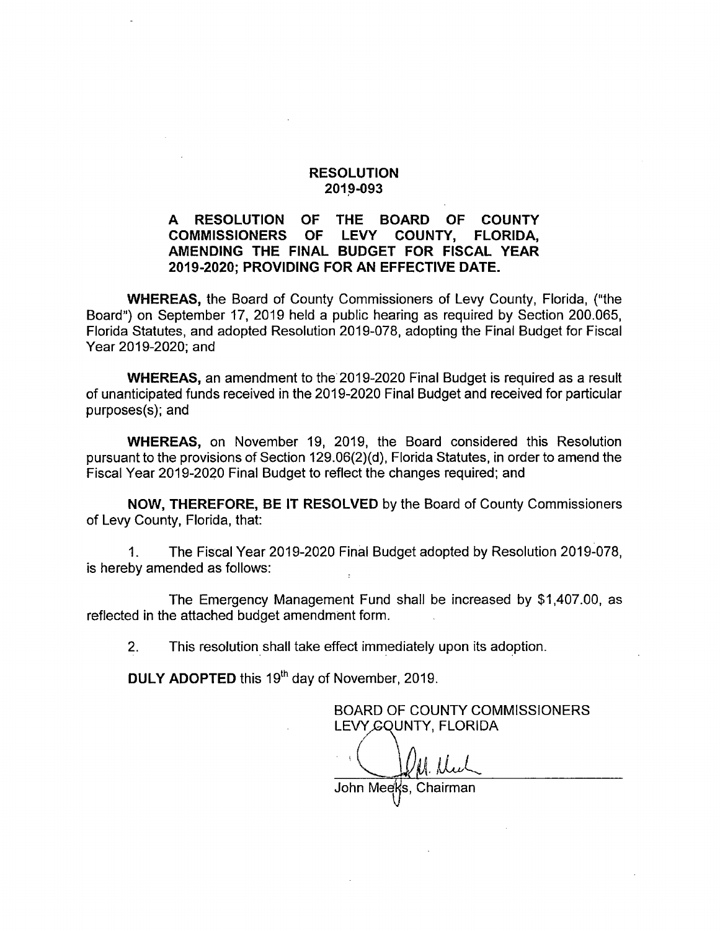#### A RESOLUTION OF THE BOARD OF COUNTY<br>COMMISSIONERS OF LEVY COUNTY. FLORIDA. COMMISSIONERS OF LEVY COUNTY, FLORIDA, AMENDING THE FINAL BUDGET FOR FISCAL YEAR 2019-2020; PROVIDING FOR AN EFFECTIVE DATE.

WHEREAS, the Board of County Commissioners of Levy County, Florida, ("the Board") on September 17, 2019 held a public hearing as required by Section 200.065, Florida Statutes, and adopted Resolution 2019-078, adopting the Final Budget for Fiscal Year 2019-2020; and

WHEREAS, an amendment to the 2019-2020 Final Budget is required as a result of unanticipated funds received in the 2019-2020 Final Budget and received for particular purposes(s); and

WHEREAS, on November 19, 2019, the Board considered this Resolution pursuant to the provisions of Section 129.06(2)(d), Florida Statutes, in order to amend the Fiscal Year 2019-2020 Final Budget to reflect the changes required; and

NOW, THEREFORE, BE IT RESOLVED by the Board of County Commissioners of Levy County, Florida, that:

1. The Fiscal Year 2019-2020 Final Budget adopted by Resolution 2019-078, is hereby amended as follows:

The Emergency Management Fund shall be increased by \$1,407.00, as reflected in the attached budget amendment form.

2. This resolution shall take effect immediately upon its adoption.

**DULY ADOPTED** this 19<sup>th</sup> day of November, 2019.

BOARD OF COUNTY COMMISSIONERS LEVY GOUNTY, FLORIDA

M. Dul

John Meeks, Chairman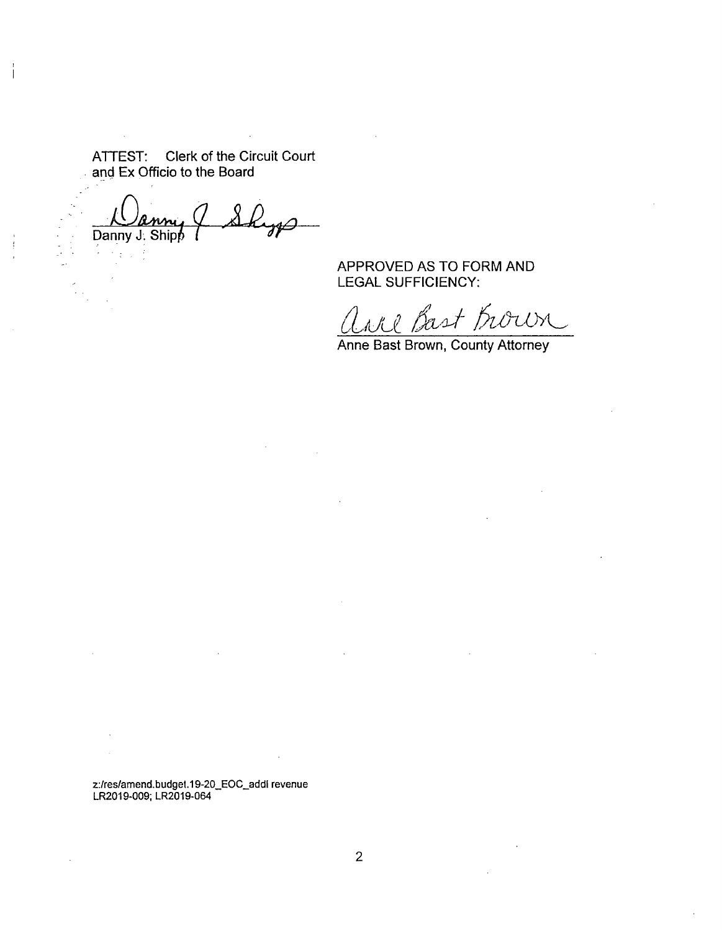ATTEST; Clerk of the Circuit Court and Ex Officio to the Board

 $\bar{\mathcal{A}}$ 

 $\mathcal{L}_{\text{eff}}$  $\overline{\lambda^-}$ Danny J. Shipp

APPROVED AS TO FORM AND LEGAL SUFFICIENCY:

ane Bast Brown

Anne Bast Brown, County Attorney

z:/res/amend.budget.19-20\_EOC\_addl revenue LR2019-009; LR2019-064

 $\overline{2}$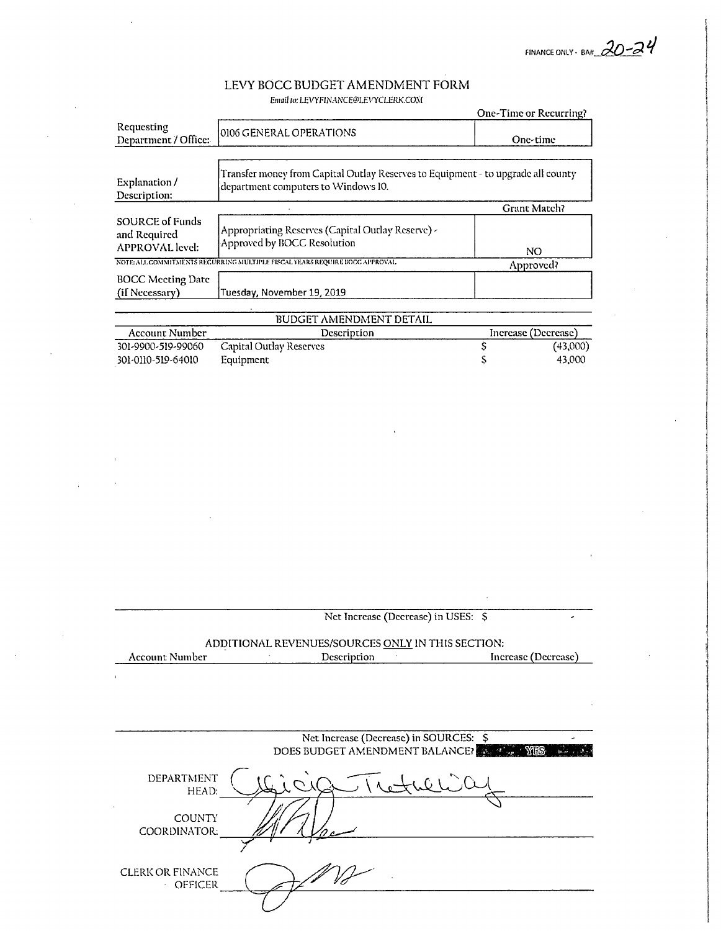FINANCE ONLY - BA#  $20 - 24$ 

S 43,000

#### LEVY BOCC BUDGET AMENDMENT FORM Email to: LEVYFINANCE@LEVYCLERK.COM

|                                                                  |                                                                                                                         | One-Time or Recurring? |
|------------------------------------------------------------------|-------------------------------------------------------------------------------------------------------------------------|------------------------|
| Requesting<br>Department / Office:                               | 0106 GENERAL OPERATIONS                                                                                                 | One-time               |
| Explanation/<br>Description:                                     | Transfer money from Capital Outlay Reserves to Equipment - to upgrade all county<br>department computers to Windows 10. |                        |
|                                                                  |                                                                                                                         | Grant Match?           |
| <b>SOURCE of Funds</b><br>and Required<br><b>APPROVAL</b> level: | Appropriating Reserves (Capital Outlay Reserve) -<br>Approved by BOCC Resolution                                        | NO.                    |
|                                                                  | NOTE: ALL COMMITMENTS RECURRING MULTIPLE FISCAL YEARS REQUIRE BOCC APPROVAL                                             | Approved?              |
| <b>BOCC Meeting Date</b><br>(if Necessary)                       | Tuesday, November 19, 2019                                                                                              |                        |
|                                                                  | <b>BUDGET AMENDMENT DETAIL</b>                                                                                          |                        |
| Account Number                                                   | Description                                                                                                             | Increase (Decrease)    |
| 301-9900-519-99060                                               | Capital Outlay Reserves                                                                                                 | (43,000)               |

301-0110-519-64010

OFFICER

Equipment

|                         | ADDITIONAL REVENUES/SOURCES ONLY IN THIS SECTION: |                     |
|-------------------------|---------------------------------------------------|---------------------|
| <b>Account Number</b>   | Description                                       | Increase (Decrease) |
|                         |                                                   |                     |
|                         |                                                   |                     |
|                         |                                                   |                     |
|                         |                                                   |                     |
|                         |                                                   |                     |
|                         | Net Increase (Decrease) in SOURCES: \$            |                     |
|                         | DOES BUDGET AMENDMENT BALANCE?                    |                     |
|                         |                                                   |                     |
| DEPARTMENT              |                                                   |                     |
| HEAD:                   |                                                   |                     |
|                         |                                                   |                     |
| <b>COUNTY</b>           |                                                   |                     |
| COORDINATOR:            |                                                   |                     |
|                         |                                                   |                     |
|                         |                                                   |                     |
| <b>CLERK OR FINANCE</b> |                                                   |                     |
| OFFICER                 |                                                   |                     |

Net Increase (Decrease) in USES: \$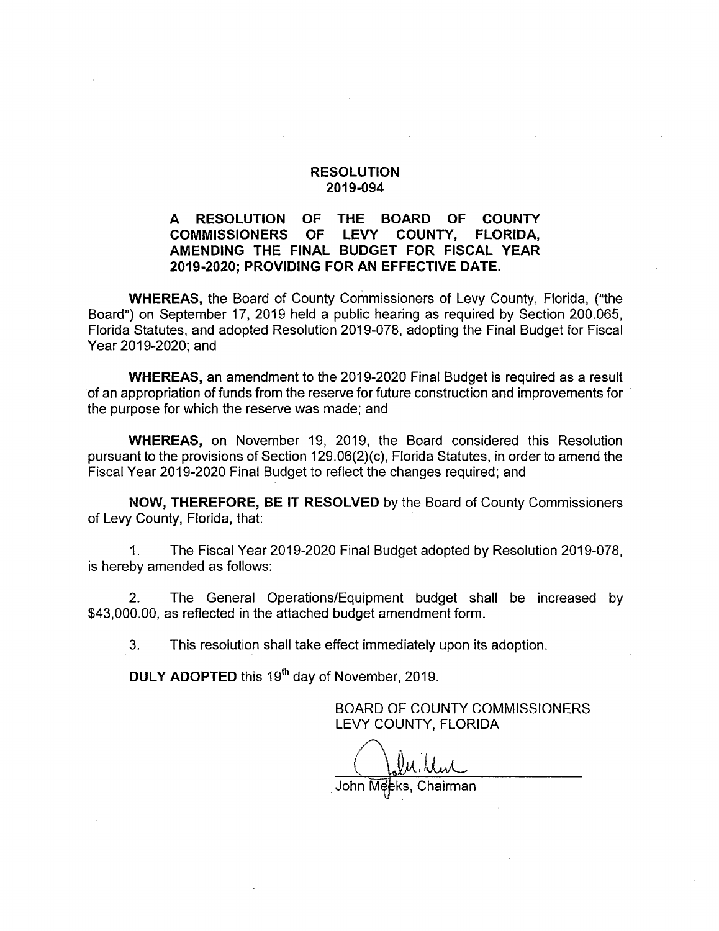#### A RESOLUTION OF THE BOARD OF COUNTY<br>COMMISSIONERS OF LEVY COUNTY. FLORIDA. **COMMISSIONERS** AMENDING THE FINAL BUDGET FOR FISCAL YEAR 2019-2020; PROVIDING FOR AN EFFECTIVE DATE.

WHEREAS, the Board of County Commissioners of Levy County, Florida, ("the Board") on September 17, 2019 held a public hearing as required by Section 200.065, Florida Statutes, and adopted Resolution 2019-078, adopting the Final Budget for Fiscal Year 2019-2020; and

WHEREAS, an amendment to the 2019-2020 Final Budget is required as a result of an appropriation of funds from the reserve for future construction and improvements for the purpose for which the reserve was made; and

WHEREAS, on November 19, 2019, the Board considered this Resolution pursuant to the provisions of Section 129.06(2)(c), Florida Statutes, in order to amend the Fiscal Year 2019-2020 Final Budget to reflect the changes required; and

NOW, THEREFORE, BE IT RESOLVED by the Board of County Commissioners of Levy County, Florida, that:

1. The Fiscal Year 2019-2020 Final Budget adopted by Resolution 2019-078, is hereby amended as follows:

2. The General Operations/Equipment budget shall be increased by \$43,000.00, as reflected in the attached budget amendment form.

3. This resolution shall take effect immediately upon its adoption.

DULY ADOPTED this 19<sup>th</sup> day of November, 2019.

BOARD OF COUNTY COMMISSIONERS LEVY COUNTY, FLORIDA

. Mul

John Meeks, Chairman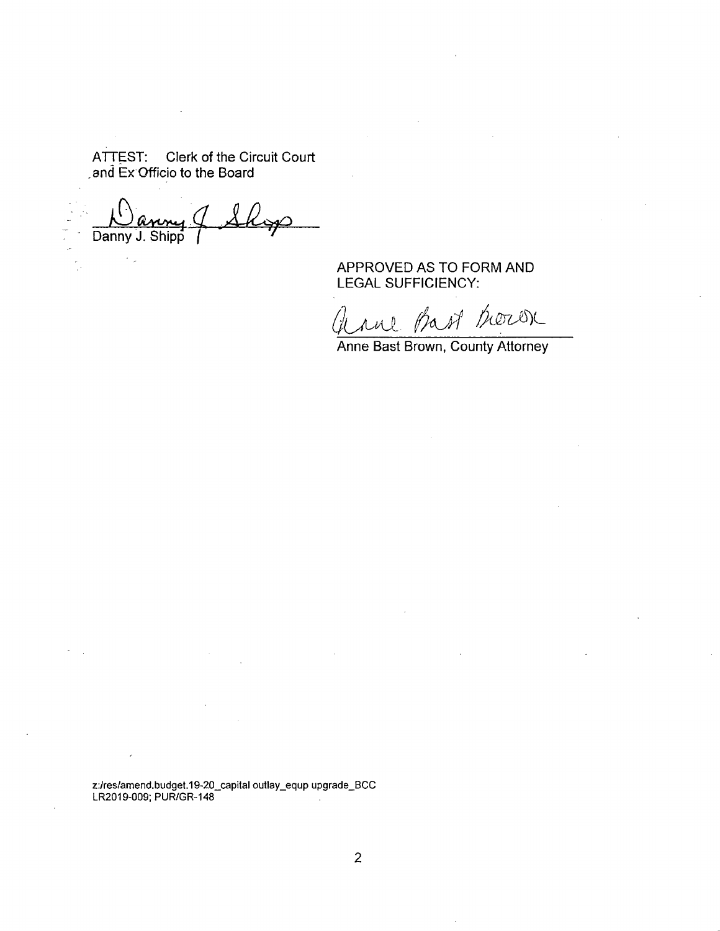ATTEST; Clerk of the Circuit Court ,and Ex Officio to the Board

 $\Huge{\rightarrow}$ Danny J. Shipp ( AKys)

 $\epsilon_{\rm{obs}}$ 

 $\frac{1}{2}$ 

APPROVED AS TO FORM AND LEGAL SUFFICIENCY:

and the of thorox

Anne Bast Brown, County Attorney

z:/res/amend.budget.19-20\_capital outlay\_equp upgrade\_BCC LR2019-009; PUR/GR-148